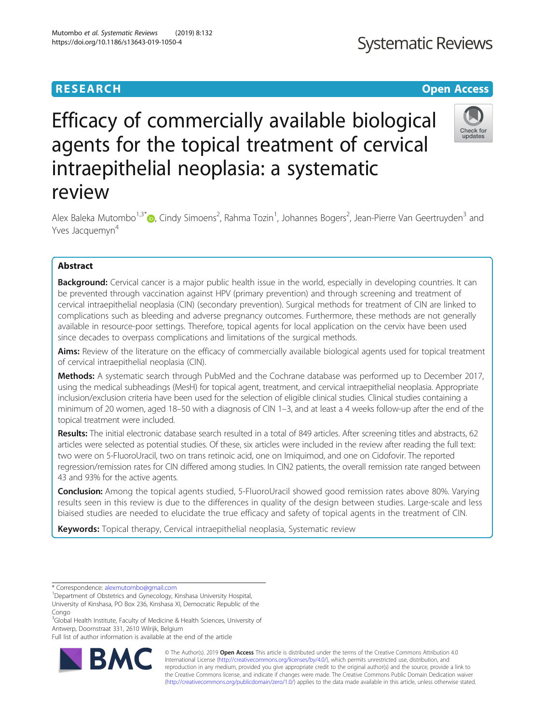### **RESEARCH CHE Open Access**

# **Systematic Reviews**

Check for undates

# Efficacy of commercially available biological agents for the topical treatment of cervical intraepithelial neoplasia: a systematic review

Alex Baleka Mutombo<sup>1,3\*</sup>®, Cindy Simoens<sup>2</sup>, Rahma Tozin<sup>1</sup>, Johannes Bogers<sup>2</sup>, Jean-Pierre Van Geertruyden<sup>3</sup> and Yves Jacquemyn<sup>4</sup>

### Abstract

**Background:** Cervical cancer is a major public health issue in the world, especially in developing countries. It can be prevented through vaccination against HPV (primary prevention) and through screening and treatment of cervical intraepithelial neoplasia (CIN) (secondary prevention). Surgical methods for treatment of CIN are linked to complications such as bleeding and adverse pregnancy outcomes. Furthermore, these methods are not generally available in resource-poor settings. Therefore, topical agents for local application on the cervix have been used since decades to overpass complications and limitations of the surgical methods.

Aims: Review of the literature on the efficacy of commercially available biological agents used for topical treatment of cervical intraepithelial neoplasia (CIN).

**Methods:** A systematic search through PubMed and the Cochrane database was performed up to December 2017, using the medical subheadings (MesH) for topical agent, treatment, and cervical intraepithelial neoplasia. Appropriate inclusion/exclusion criteria have been used for the selection of eligible clinical studies. Clinical studies containing a minimum of 20 women, aged 18–50 with a diagnosis of CIN 1–3, and at least a 4 weeks follow-up after the end of the topical treatment were included.

Results: The initial electronic database search resulted in a total of 849 articles. After screening titles and abstracts, 62 articles were selected as potential studies. Of these, six articles were included in the review after reading the full text: two were on 5-FluoroUracil, two on trans retinoic acid, one on Imiquimod, and one on Cidofovir. The reported regression/remission rates for CIN differed among studies. In CIN2 patients, the overall remission rate ranged between 43 and 93% for the active agents.

**Conclusion:** Among the topical agents studied, 5-FluoroUracil showed good remission rates above 80%. Varying results seen in this review is due to the differences in quality of the design between studies. Large-scale and less biaised studies are needed to elucidate the true efficacy and safety of topical agents in the treatment of CIN.

Keywords: Topical therapy, Cervical intraepithelial neoplasia, Systematic review

<sup>3</sup>Global Health Institute, Faculty of Medicine & Health Sciences, University of Antwerp, Doornstraat 331, 2610 Wilrijk, Belgium

Full list of author information is available at the end of the article



© The Author(s). 2019 **Open Access** This article is distributed under the terms of the Creative Commons Attribution 4.0 International License [\(http://creativecommons.org/licenses/by/4.0/](http://creativecommons.org/licenses/by/4.0/)), which permits unrestricted use, distribution, and reproduction in any medium, provided you give appropriate credit to the original author(s) and the source, provide a link to the Creative Commons license, and indicate if changes were made. The Creative Commons Public Domain Dedication waiver [\(http://creativecommons.org/publicdomain/zero/1.0/](http://creativecommons.org/publicdomain/zero/1.0/)) applies to the data made available in this article, unless otherwise stated.

<sup>\*</sup> Correspondence: [alexmutombo@gmail.com](mailto:alexmutombo@gmail.com) <sup>1</sup>

<sup>&</sup>lt;sup>1</sup> Department of Obstetrics and Gynecology, Kinshasa University Hospital,

University of Kinshasa, PO Box 236, Kinshasa XI, Democratic Republic of the Congo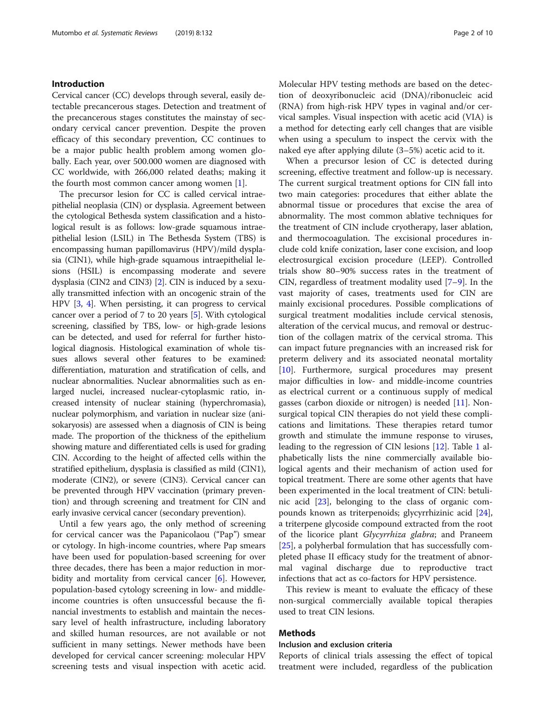#### Introduction

Cervical cancer (CC) develops through several, easily detectable precancerous stages. Detection and treatment of the precancerous stages constitutes the mainstay of secondary cervical cancer prevention. Despite the proven efficacy of this secondary prevention, CC continues to be a major public health problem among women globally. Each year, over 500.000 women are diagnosed with CC worldwide, with 266,000 related deaths; making it the fourth most common cancer among women [[1\]](#page-8-0).

The precursor lesion for CC is called cervical intraepithelial neoplasia (CIN) or dysplasia. Agreement between the cytological Bethesda system classification and a histological result is as follows: low-grade squamous intraepithelial lesion (LSIL) in The Bethesda System (TBS) is encompassing human papillomavirus (HPV)/mild dysplasia (CIN1), while high-grade squamous intraepithelial lesions (HSIL) is encompassing moderate and severe dysplasia (CIN2 and CIN3) [\[2\]](#page-8-0). CIN is induced by a sexually transmitted infection with an oncogenic strain of the HPV [[3](#page-8-0), [4](#page-8-0)]. When persisting, it can progress to cervical cancer over a period of 7 to 20 years [\[5](#page-8-0)]. With cytological screening, classified by TBS, low- or high-grade lesions can be detected, and used for referral for further histological diagnosis. Histological examination of whole tissues allows several other features to be examined: differentiation, maturation and stratification of cells, and nuclear abnormalities. Nuclear abnormalities such as enlarged nuclei, increased nuclear-cytoplasmic ratio, increased intensity of nuclear staining (hyperchromasia), nuclear polymorphism, and variation in nuclear size (anisokaryosis) are assessed when a diagnosis of CIN is being made. The proportion of the thickness of the epithelium showing mature and differentiated cells is used for grading CIN. According to the height of affected cells within the stratified epithelium, dysplasia is classified as mild (CIN1), moderate (CIN2), or severe (CIN3). Cervical cancer can be prevented through HPV vaccination (primary prevention) and through screening and treatment for CIN and early invasive cervical cancer (secondary prevention).

Until a few years ago, the only method of screening for cervical cancer was the Papanicolaou ("Pap") smear or cytology. In high-income countries, where Pap smears have been used for population-based screening for over three decades, there has been a major reduction in mor-bidity and mortality from cervical cancer [\[6\]](#page-8-0). However, population-based cytology screening in low- and middleincome countries is often unsuccessful because the financial investments to establish and maintain the necessary level of health infrastructure, including laboratory and skilled human resources, are not available or not sufficient in many settings. Newer methods have been developed for cervical cancer screening: molecular HPV screening tests and visual inspection with acetic acid. Molecular HPV testing methods are based on the detection of deoxyribonucleic acid (DNA)/ribonucleic acid (RNA) from high-risk HPV types in vaginal and/or cervical samples. Visual inspection with acetic acid (VIA) is a method for detecting early cell changes that are visible when using a speculum to inspect the cervix with the naked eye after applying dilute (3–5%) acetic acid to it.

When a precursor lesion of CC is detected during screening, effective treatment and follow-up is necessary. The current surgical treatment options for CIN fall into two main categories: procedures that either ablate the abnormal tissue or procedures that excise the area of abnormality. The most common ablative techniques for the treatment of CIN include cryotherapy, laser ablation, and thermocoagulation. The excisional procedures include cold knife conization, laser cone excision, and loop electrosurgical excision procedure (LEEP). Controlled trials show 80–90% success rates in the treatment of CIN, regardless of treatment modality used [[7](#page-8-0)–[9](#page-8-0)]. In the vast majority of cases, treatments used for CIN are mainly excisional procedures. Possible complications of surgical treatment modalities include cervical stenosis, alteration of the cervical mucus, and removal or destruction of the collagen matrix of the cervical stroma. This can impact future pregnancies with an increased risk for preterm delivery and its associated neonatal mortality [[10\]](#page-8-0). Furthermore, surgical procedures may present major difficulties in low- and middle-income countries as electrical current or a continuous supply of medical gasses (carbon dioxide or nitrogen) is needed [[11](#page-8-0)]. Nonsurgical topical CIN therapies do not yield these complications and limitations. These therapies retard tumor growth and stimulate the immune response to viruses, leading to the regression of CIN lesions [[12\]](#page-8-0). Table [1](#page-2-0) alphabetically lists the nine commercially available biological agents and their mechanism of action used for topical treatment. There are some other agents that have been experimented in the local treatment of CIN: betulinic acid [\[23](#page-8-0)], belonging to the class of organic compounds known as triterpenoids; glycyrrhizinic acid [\[24](#page-8-0)], a triterpene glycoside compound extracted from the root of the licorice plant Glycyrrhiza glabra; and Praneem [[25\]](#page-8-0), a polyherbal formulation that has successfully completed phase II efficacy study for the treatment of abnormal vaginal discharge due to reproductive tract infections that act as co-factors for HPV persistence.

This review is meant to evaluate the efficacy of these non-surgical commercially available topical therapies used to treat CIN lesions.

#### Methods

#### Inclusion and exclusion criteria

Reports of clinical trials assessing the effect of topical treatment were included, regardless of the publication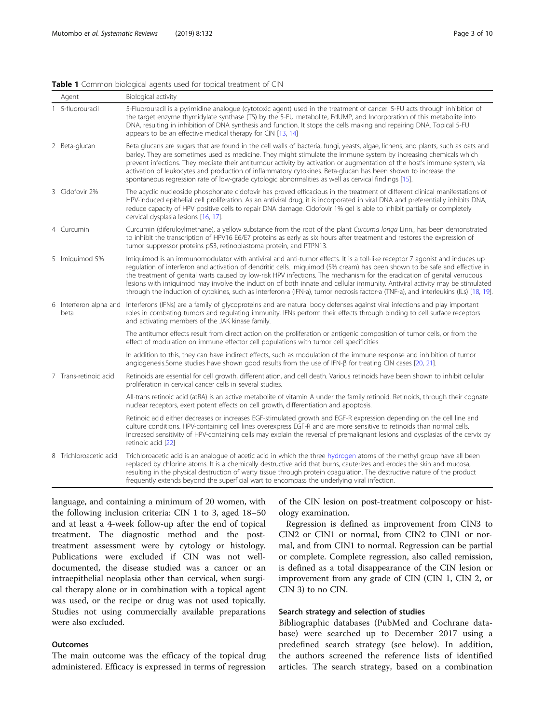<span id="page-2-0"></span>

|  |  |  |  |  |  |  |  | Table 1 Common biological agents used for topical treatment of CIN |  |  |
|--|--|--|--|--|--|--|--|--------------------------------------------------------------------|--|--|
|--|--|--|--|--|--|--|--|--------------------------------------------------------------------|--|--|

| Agent                          | Biological activity                                                                                                                                                                                                                                                                                                                                                                                                                                                                                                                                                                                                                                         |
|--------------------------------|-------------------------------------------------------------------------------------------------------------------------------------------------------------------------------------------------------------------------------------------------------------------------------------------------------------------------------------------------------------------------------------------------------------------------------------------------------------------------------------------------------------------------------------------------------------------------------------------------------------------------------------------------------------|
| 5-fluorouracil                 | 5-Fluorouracil is a pyrimidine analogue (cytotoxic agent) used in the treatment of cancer. 5-FU acts through inhibition of<br>the target enzyme thymidylate synthase (TS) by the 5-FU metabolite, FdUMP, and Incorporation of this metabolite into<br>DNA, resulting in inhibition of DNA synthesis and function. It stops the cells making and repairing DNA. Topical 5-FU<br>appears to be an effective medical therapy for CIN [13, 14]                                                                                                                                                                                                                  |
| 2 Beta-glucan                  | Beta glucans are sugars that are found in the cell walls of bacteria, fungi, yeasts, algae, lichens, and plants, such as oats and<br>barley. They are sometimes used as medicine. They might stimulate the immune system by increasing chemicals which<br>prevent infections. They mediate their antitumour activity by activation or augmentation of the host's immune system, via<br>activation of leukocytes and production of inflammatory cytokines. Beta-glucan has been shown to increase the<br>spontaneous regression rate of low-grade cytologic abnormalities as well as cervical findings [15].                                                 |
| 3 Cidofovir 2%                 | The acyclic nucleoside phosphonate cidofovir has proved efficacious in the treatment of different clinical manifestations of<br>HPV-induced epithelial cell proliferation. As an antiviral drug, it is incorporated in viral DNA and preferentially inhibits DNA,<br>reduce capacity of HPV positive cells to repair DNA damage. Cidofovir 1% gel is able to inhibit partially or completely<br>cervical dysplasia lesions [16, 17].                                                                                                                                                                                                                        |
| 4 Curcumin                     | Curcumin (diferuloylmethane), a yellow substance from the root of the plant Curcuma longa Linn., has been demonstrated<br>to inhibit the transcription of HPV16 E6/E7 proteins as early as six hours after treatment and restores the expression of<br>tumor suppressor proteins p53, retinoblastoma protein, and PTPN13.                                                                                                                                                                                                                                                                                                                                   |
| 5 Imiguimod 5%                 | Imiguimod is an immunomodulator with antiviral and anti-tumor effects. It is a toll-like receptor 7 agonist and induces up<br>regulation of interferon and activation of dendritic cells. Imiguimod (5% cream) has been shown to be safe and effective in<br>the treatment of genital warts caused by low-risk HPV infections. The mechanism for the eradication of genital verrucous<br>lesions with imiquimod may involve the induction of both innate and cellular immunity. Antiviral activity may be stimulated<br>through the induction of cytokines, such as interferon-a (IFN-a), tumor necrosis factor-a (TNF-a), and interleukins (ILs) [18, 19]. |
| 6 Interferon alpha and<br>beta | Interferons (IFNs) are a family of glycoproteins and are natural body defenses against viral infections and play important<br>roles in combating tumors and regulating immunity. IFNs perform their effects through binding to cell surface receptors<br>and activating members of the JAK kinase family.                                                                                                                                                                                                                                                                                                                                                   |
|                                | The antitumor effects result from direct action on the proliferation or antigenic composition of tumor cells, or from the<br>effect of modulation on immune effector cell populations with tumor cell specificities.                                                                                                                                                                                                                                                                                                                                                                                                                                        |
|                                | In addition to this, they can have indirect effects, such as modulation of the immune response and inhibition of tumor<br>angiogenesis. Some studies have shown good results from the use of IFN-B for treating CIN cases [20, 21].                                                                                                                                                                                                                                                                                                                                                                                                                         |
| 7 Trans-retinoic acid          | Retinoids are essential for cell growth, differentiation, and cell death. Various retinoids have been shown to inhibit cellular<br>proliferation in cervical cancer cells in several studies.                                                                                                                                                                                                                                                                                                                                                                                                                                                               |
|                                | All-trans retinoic acid (atRA) is an active metabolite of vitamin A under the family retinoid. Retinoids, through their cognate<br>nuclear receptors, exert potent effects on cell growth, differentiation and apoptosis.                                                                                                                                                                                                                                                                                                                                                                                                                                   |
|                                | Retinoic acid either decreases or increases EGF-stimulated growth and EGF-R expression depending on the cell line and<br>culture conditions. HPV-containing cell lines overexpress EGF-R and are more sensitive to retinoïds than normal cells.<br>Increased sensitivity of HPV-containing cells may explain the reversal of premalignant lesions and dysplasias of the cervix by<br>retinoic acid [22]                                                                                                                                                                                                                                                     |
| 8 Trichloroacetic acid         | Trichloroacetic acid is an analogue of acetic acid in which the three hydrogen atoms of the methyl group have all been<br>replaced by chlorine atoms. It is a chemically destructive acid that burns, cauterizes and erodes the skin and mucosa,<br>resulting in the physical destruction of warty tissue through protein coagulation. The destructive nature of the product<br>frequently extends beyond the superficial wart to encompass the underlying viral infection.                                                                                                                                                                                 |

language, and containing a minimum of 20 women, with the following inclusion criteria: CIN 1 to 3, aged 18–50 and at least a 4-week follow-up after the end of topical treatment. The diagnostic method and the posttreatment assessment were by cytology or histology. Publications were excluded if CIN was not welldocumented, the disease studied was a cancer or an intraepithelial neoplasia other than cervical, when surgical therapy alone or in combination with a topical agent was used, or the recipe or drug was not used topically. Studies not using commercially available preparations were also excluded.

#### **Outcomes**

The main outcome was the efficacy of the topical drug administered. Efficacy is expressed in terms of regression of the CIN lesion on post-treatment colposcopy or histology examination.

Regression is defined as improvement from CIN3 to CIN2 or CIN1 or normal, from CIN2 to CIN1 or normal, and from CIN1 to normal. Regression can be partial or complete. Complete regression, also called remission, is defined as a total disappearance of the CIN lesion or improvement from any grade of CIN (CIN 1, CIN 2, or CIN 3) to no CIN.

#### Search strategy and selection of studies

Bibliographic databases (PubMed and Cochrane database) were searched up to December 2017 using a predefined search strategy (see below). In addition, the authors screened the reference lists of identified articles. The search strategy, based on a combination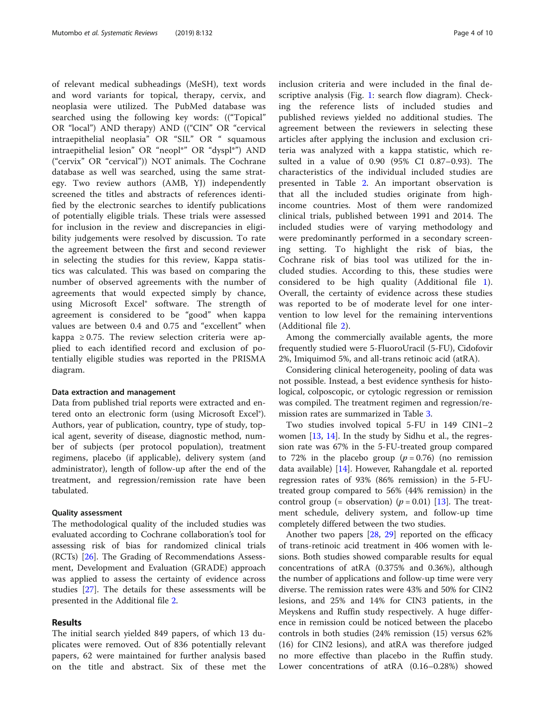of relevant medical subheadings (MeSH), text words and word variants for topical, therapy, cervix, and neoplasia were utilized. The PubMed database was searched using the following key words: (("Topical" OR "local") AND therapy) AND (("CIN" OR "cervical intraepithelial neoplasia" OR "SIL" OR " squamous intraepithelial lesion" OR "neopl\*" OR "dyspl\*") AND ("cervix" OR "cervical")) NOT animals. The Cochrane database as well was searched, using the same strategy. Two review authors (AMB, YJ) independently screened the titles and abstracts of references identified by the electronic searches to identify publications of potentially eligible trials. These trials were assessed for inclusion in the review and discrepancies in eligibility judgements were resolved by discussion. To rate the agreement between the first and second reviewer in selecting the studies for this review, Kappa statistics was calculated. This was based on comparing the number of observed agreements with the number of agreements that would expected simply by chance, using Microsoft Excel® software. The strength of agreement is considered to be "good" when kappa values are between 0.4 and 0.75 and "excellent" when kappa  $\geq 0.75$ . The review selection criteria were applied to each identified record and exclusion of potentially eligible studies was reported in the PRISMA diagram.

#### Data extraction and management

Data from published trial reports were extracted and entered onto an electronic form (using Microsoft Excel®). Authors, year of publication, country, type of study, topical agent, severity of disease, diagnostic method, number of subjects (per protocol population), treatment regimens, placebo (if applicable), delivery system (and administrator), length of follow-up after the end of the treatment, and regression/remission rate have been tabulated.

#### Quality assessment

The methodological quality of the included studies was evaluated according to Cochrane collaboration's tool for assessing risk of bias for randomized clinical trials (RCTs) [\[26](#page-8-0)]. The Grading of Recommendations Assessment, Development and Evaluation (GRADE) approach was applied to assess the certainty of evidence across studies [[27\]](#page-8-0). The details for these assessments will be presented in the Additional file [2](#page-7-0).

#### Results

The initial search yielded 849 papers, of which 13 duplicates were removed. Out of 836 potentially relevant papers, 62 were maintained for further analysis based on the title and abstract. Six of these met the inclusion criteria and were included in the final descriptive analysis (Fig. [1](#page-4-0): search flow diagram). Checking the reference lists of included studies and published reviews yielded no additional studies. The agreement between the reviewers in selecting these articles after applying the inclusion and exclusion criteria was analyzed with a kappa statistic, which resulted in a value of 0.90 (95% CI 0.87–0.93). The characteristics of the individual included studies are presented in Table [2.](#page-4-0) An important observation is that all the included studies originate from highincome countries. Most of them were randomized clinical trials, published between 1991 and 2014. The included studies were of varying methodology and were predominantly performed in a secondary screening setting. To highlight the risk of bias, the Cochrane risk of bias tool was utilized for the included studies. According to this, these studies were considered to be high quality (Additional file [1](#page-7-0)). Overall, the certainty of evidence across these studies was reported to be of moderate level for one intervention to low level for the remaining interventions (Additional file [2\)](#page-7-0).

Among the commercially available agents, the more frequently studied were 5-FluoroUracil (5-FU), Cidofovir 2%, Imiquimod 5%, and all-trans retinoic acid (atRA).

Considering clinical heterogeneity, pooling of data was not possible. Instead, a best evidence synthesis for histological, colposcopic, or cytologic regression or remission was compiled. The treatment regimen and regression/remission rates are summarized in Table [3.](#page-5-0)

Two studies involved topical 5-FU in 149 CIN1–2 women [\[13](#page-8-0), [14](#page-8-0)]. In the study by Sidhu et al., the regression rate was 67% in the 5-FU-treated group compared to 72% in the placebo group ( $p = 0.76$ ) (no remission data available) [[14\]](#page-8-0). However, Rahangdale et al. reported regression rates of 93% (86% remission) in the 5-FUtreated group compared to 56% (44% remission) in the control group (= observation) ( $p = 0.01$ ) [[13](#page-8-0)]. The treatment schedule, delivery system, and follow-up time completely differed between the two studies.

Another two papers [\[28](#page-8-0), [29](#page-8-0)] reported on the efficacy of trans-retinoic acid treatment in 406 women with lesions. Both studies showed comparable results for equal concentrations of atRA (0.375% and 0.36%), although the number of applications and follow-up time were very diverse. The remission rates were 43% and 50% for CIN2 lesions, and 25% and 14% for CIN3 patients, in the Meyskens and Ruffin study respectively. A huge difference in remission could be noticed between the placebo controls in both studies (24% remission (15) versus 62% (16) for CIN2 lesions), and atRA was therefore judged no more effective than placebo in the Ruffin study. Lower concentrations of atRA (0.16–0.28%) showed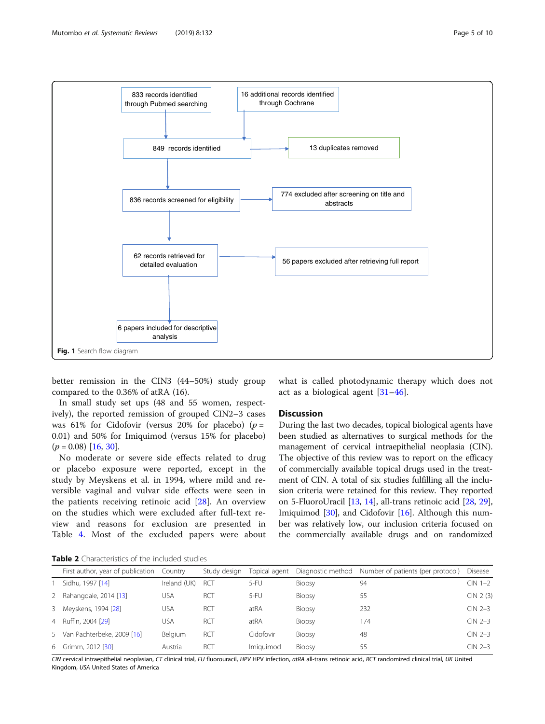

<span id="page-4-0"></span>

better remission in the CIN3 (44–50%) study group compared to the 0.36% of atRA (16).

In small study set ups (48 and 55 women, respectively), the reported remission of grouped CIN2–3 cases was 61% for Cidofovir (versus 20% for placebo) ( $p =$ 0.01) and 50% for Imiquimod (versus 15% for placebo)  $(p = 0.08)$  [[16,](#page-8-0) [30](#page-8-0)].

No moderate or severe side effects related to drug or placebo exposure were reported, except in the study by Meyskens et al. in 1994, where mild and reversible vaginal and vulvar side effects were seen in the patients receiving retinoic acid [\[28](#page-8-0)]. An overview on the studies which were excluded after full-text review and reasons for exclusion are presented in Table [4.](#page-5-0) Most of the excluded papers were about what is called photodynamic therapy which does not act as a biological agent [\[31](#page-8-0)–[46](#page-9-0)].

#### Discussion

During the last two decades, topical biological agents have been studied as alternatives to surgical methods for the management of cervical intraepithelial neoplasia (CIN). The objective of this review was to report on the efficacy of commercially available topical drugs used in the treatment of CIN. A total of six studies fulfilling all the inclusion criteria were retained for this review. They reported on 5-FluoroUracil [[13](#page-8-0), [14](#page-8-0)], all-trans retinoic acid [[28](#page-8-0), [29](#page-8-0)], Imiquimod [\[30](#page-8-0)], and Cidofovir [[16\]](#page-8-0). Although this number was relatively low, our inclusion criteria focused on the commercially available drugs and on randomized

Table 2 Characteristics of the included studies

| First author, year of publication Country |              | Study design |           |               | Topical agent Diagnostic method Number of patients (per protocol) | <b>Disease</b> |
|-------------------------------------------|--------------|--------------|-----------|---------------|-------------------------------------------------------------------|----------------|
| Sidhu, 1997 [14]                          | Ireland (UK) | RCT          | 5-FU      | Biopsy        | 94                                                                | $CIN 1-2$      |
| 2 Rahangdale, 2014 [13]                   | USA          | RCT          | 5-FU      | Biopsy        | 55                                                                | CIN 2(3)       |
| 3 Meyskens, 1994 [28]                     | USA          | RCT          | atRA      | <b>Biopsy</b> | 232                                                               | $CIN 2-3$      |
| 4 Ruffin, 2004 [29]                       | USA          | RCT          | atRA      | <b>Biopsy</b> | 174                                                               | $CIN 2-3$      |
| 5 Van Pachterbeke, 2009 [16]              | Belgium      | <b>RCT</b>   | Cidofovir | Biopsy        | 48                                                                | $CIN 2-3$      |
| 6 Grimm, 2012 [30]                        | Austria      | RCT          | Imiauimod | <b>Biopsy</b> | 55                                                                | $CIN 2-3$      |

CIN cervical intraepithelial neoplasian, CT clinical trial, FU fluorouracil, HPV HPV infection, atRA all-trans retinoic acid, RCT randomized clinical trial, UK United Kingdom, USA United States of America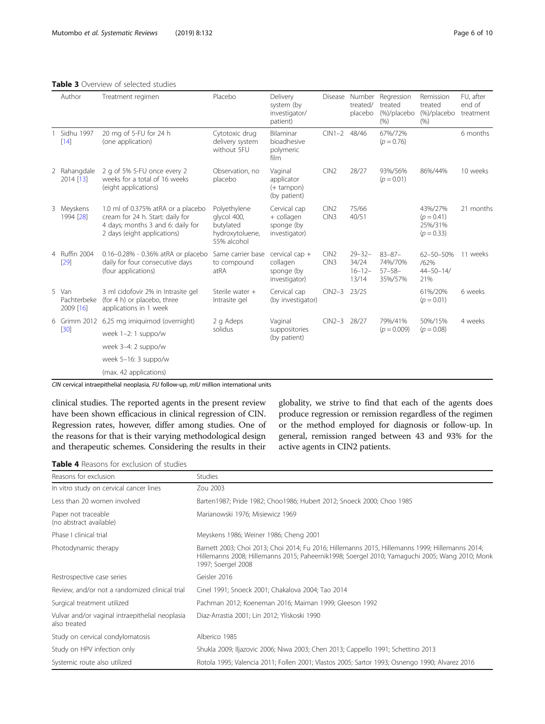#### <span id="page-5-0"></span>Table 3 Overview of selected studies

|  | Author                            | Treatment regimen                                                                                                                          | Placebo                                                                    | Delivery<br>system (by<br>investigator/<br>patient)         | <b>Disease</b> | Number<br>treated/<br>placebo                | Regression<br>treated<br>(%)/placebo<br>(9/6)    | Remission<br>treated<br>(%)/placebo<br>(% )        | FU, after<br>end of<br>treatment |
|--|-----------------------------------|--------------------------------------------------------------------------------------------------------------------------------------------|----------------------------------------------------------------------------|-------------------------------------------------------------|----------------|----------------------------------------------|--------------------------------------------------|----------------------------------------------------|----------------------------------|
|  | Sidhu 1997<br>$[14]$              | 20 mg of 5-FU for 24 h<br>(one application)                                                                                                | Cytotoxic drug<br>delivery system<br>without 5FU                           | Bilaminar<br>bioadhesive<br>polymeric<br>film               | CIN1-2 48/46   |                                              | 67%/72%<br>$(p = 0.76)$                          |                                                    | 6 months                         |
|  | 2 Rahangdale<br>2014 [13]         | 2 g of 5% 5-FU once every 2<br>weeks for a total of 16 weeks<br>(eight applications)                                                       | Observation, no<br>placebo                                                 | Vaginal<br>applicator<br>$(+$ tampon)<br>(by patient)       | CIN2           | 28/27                                        | 93%/56%<br>$(p = 0.01)$                          | 86%/44%                                            | 10 weeks                         |
|  | 3 Meyskens<br>1994 [28]           | 1.0 ml of 0.375% atRA or a placebo<br>cream for 24 h. Start: daily for<br>4 days; months 3 and 6: daily for<br>2 days (eight applications) | Polyethylene<br>glycol 400,<br>butylated<br>hydroxytoluene,<br>55% alcohol | Cervical cap<br>+ collagen<br>sponge (by<br>investigator)   | CIN2<br>CIN3   | 75/66<br>40/51                               |                                                  | 43%/27%<br>$(p = 0.41)$<br>25%/31%<br>$(p = 0.33)$ | 21 months                        |
|  | 4 Ruffin 2004<br>[29]             | 0.16-0.28% - 0.36% atRA or placebo<br>daily for four consecutive days<br>(four applications)                                               | Same carrier base<br>to compound<br>atRA                                   | cervical cap $+$<br>collagen<br>sponge (by<br>investigator) | CIN2<br>CIN3   | $29 - 32 -$<br>34/24<br>$16 - 12 -$<br>13/14 | $83 - 87 -$<br>74%/70%<br>$57 - 58 -$<br>35%/57% | 62-50-50%<br>/62%<br>$44 - 50 - 14/$<br>21%        | 11 weeks                         |
|  | 5 Van<br>Pachterbeke<br>2009 [16] | 3 ml cidofovir 2% in Intrasite gel<br>(for 4 h) or placebo, three<br>applications in 1 week                                                | Sterile water $+$<br>Intrasite gel                                         | Cervical cap<br>(by investigator)                           | $CIN2-3$       | 23/25                                        |                                                  | 61%/20%<br>$(p = 0.01)$                            | 6 weeks                          |
|  | 6 Grimm 2012<br>$[30]$            | 6.25 mg imiguimod (overnight)                                                                                                              | 2 g Adeps<br>solidus                                                       | Vaginal<br>suppositories<br>(by patient)                    | $CIN2-3$       | 28/27                                        | 79%/41%<br>$(p = 0.009)$                         | 50%/15%<br>$(p = 0.08)$                            | 4 weeks                          |
|  |                                   | week $1-2:1$ suppo/w                                                                                                                       |                                                                            |                                                             |                |                                              |                                                  |                                                    |                                  |
|  |                                   | week 3-4: 2 suppo/w                                                                                                                        |                                                                            |                                                             |                |                                              |                                                  |                                                    |                                  |
|  |                                   | week 5-16: 3 suppo/w                                                                                                                       |                                                                            |                                                             |                |                                              |                                                  |                                                    |                                  |
|  |                                   | (max. 42 applications)                                                                                                                     |                                                                            |                                                             |                |                                              |                                                  |                                                    |                                  |

CIN cervical intraepithelial neoplasia, FU follow-up,  $m$ IU million international units

clinical studies. The reported agents in the present review have been shown efficacious in clinical regression of CIN. Regression rates, however, differ among studies. One of the reasons for that is their varying methodological design and therapeutic schemes. Considering the results in their

globality, we strive to find that each of the agents does produce regression or remission regardless of the regimen or the method employed for diagnosis or follow-up. In general, remission ranged between 43 and 93% for the active agents in CIN2 patients.

| Reasons for exclusion                                           | <b>Studies</b>                                                                                                                                                                                                          |  |  |  |  |
|-----------------------------------------------------------------|-------------------------------------------------------------------------------------------------------------------------------------------------------------------------------------------------------------------------|--|--|--|--|
| In vitro study on cervical cancer lines                         | Zou 2003                                                                                                                                                                                                                |  |  |  |  |
| Less than 20 women involved                                     | Barten1987; Pride 1982; Choo1986; Hubert 2012; Snoeck 2000; Choo 1985                                                                                                                                                   |  |  |  |  |
| Paper not traceable<br>(no abstract available)                  | Marianowski 1976; Misiewicz 1969                                                                                                                                                                                        |  |  |  |  |
| Phase I clinical trial                                          | Meyskens 1986; Weiner 1986; Cheng 2001                                                                                                                                                                                  |  |  |  |  |
| Photodynamic therapy                                            | Barnett 2003; Choi 2013; Choi 2014; Fu 2016; Hillemanns 2015, Hillemanns 1999; Hillemanns 2014;<br>Hillemanns 2008; Hillemanns 2015; Paheernik1998; Soergel 2010; Yamaguchi 2005; Wang 2010; Monk<br>1997; Soergel 2008 |  |  |  |  |
| Restrospective case series                                      | Geisler 2016                                                                                                                                                                                                            |  |  |  |  |
| Review, and/or not a randomized clinical trial                  | Cinel 1991; Snoeck 2001; Chakalova 2004; Tao 2014                                                                                                                                                                       |  |  |  |  |
| Surgical treatment utilized                                     | Pachman 2012; Koeneman 2016; Maiman 1999; Gleeson 1992                                                                                                                                                                  |  |  |  |  |
| Vulvar and/or vaginal intraepithelial neoplasia<br>also treated | Diaz-Arrastia 2001; Lin 2012; Yliskoski 1990                                                                                                                                                                            |  |  |  |  |
| Study on cervical condylomatosis                                | Alberico 1985                                                                                                                                                                                                           |  |  |  |  |
| Study on HPV infection only                                     | Shukla 2009; Iljazovic 2006; Niwa 2003; Chen 2013; Cappello 1991; Schettino 2013                                                                                                                                        |  |  |  |  |
| Systemic route also utilized                                    | Rotola 1995; Valencia 2011; Follen 2001; Vlastos 2005; Sartor 1993; Osnengo 1990; Alvarez 2016                                                                                                                          |  |  |  |  |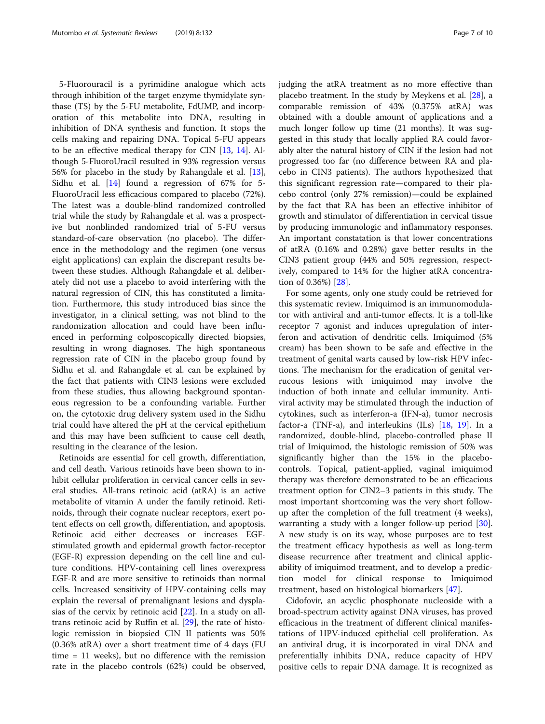5-Fluorouracil is a pyrimidine analogue which acts through inhibition of the target enzyme thymidylate synthase (TS) by the 5-FU metabolite, FdUMP, and incorporation of this metabolite into DNA, resulting in inhibition of DNA synthesis and function. It stops the cells making and repairing DNA. Topical 5-FU appears to be an effective medical therapy for CIN [[13,](#page-8-0) [14](#page-8-0)]. Although 5-FluoroUracil resulted in 93% regression versus 56% for placebo in the study by Rahangdale et al. [\[13](#page-8-0)], Sidhu et al. [[14\]](#page-8-0) found a regression of 67% for 5- FluoroUracil less efficacious compared to placebo (72%). The latest was a double-blind randomized controlled trial while the study by Rahangdale et al. was a prospective but nonblinded randomized trial of 5-FU versus standard-of-care observation (no placebo). The difference in the methodology and the regimen (one versus eight applications) can explain the discrepant results between these studies. Although Rahangdale et al. deliberately did not use a placebo to avoid interfering with the natural regression of CIN, this has constituted a limitation. Furthermore, this study introduced bias since the investigator, in a clinical setting, was not blind to the randomization allocation and could have been influenced in performing colposcopically directed biopsies, resulting in wrong diagnoses. The high spontaneous regression rate of CIN in the placebo group found by Sidhu et al. and Rahangdale et al. can be explained by the fact that patients with CIN3 lesions were excluded from these studies, thus allowing background spontaneous regression to be a confounding variable. Further on, the cytotoxic drug delivery system used in the Sidhu trial could have altered the pH at the cervical epithelium and this may have been sufficient to cause cell death, resulting in the clearance of the lesion.

Retinoids are essential for cell growth, differentiation, and cell death. Various retinoids have been shown to inhibit cellular proliferation in cervical cancer cells in several studies. All-trans retinoic acid (atRA) is an active metabolite of vitamin A under the family retinoid. Retinoids, through their cognate nuclear receptors, exert potent effects on cell growth, differentiation, and apoptosis. Retinoic acid either decreases or increases EGFstimulated growth and epidermal growth factor-receptor (EGF-R) expression depending on the cell line and culture conditions. HPV-containing cell lines overexpress EGF-R and are more sensitive to retinoids than normal cells. Increased sensitivity of HPV-containing cells may explain the reversal of premalignant lesions and dysplasias of the cervix by retinoic acid [\[22](#page-8-0)]. In a study on alltrans retinoic acid by Ruffin et al. [\[29\]](#page-8-0), the rate of histologic remission in biopsied CIN II patients was 50% (0.36% atRA) over a short treatment time of 4 days (FU time = 11 weeks), but no difference with the remission rate in the placebo controls (62%) could be observed, judging the atRA treatment as no more effective than placebo treatment. In the study by Meykens et al. [[28\]](#page-8-0), a comparable remission of 43% (0.375% atRA) was obtained with a double amount of applications and a much longer follow up time (21 months). It was suggested in this study that locally applied RA could favorably alter the natural history of CIN if the lesion had not progressed too far (no difference between RA and placebo in CIN3 patients). The authors hypothesized that this significant regression rate—compared to their placebo control (only 27% remission)—could be explained by the fact that RA has been an effective inhibitor of growth and stimulator of differentiation in cervical tissue by producing immunologic and inflammatory responses. An important constatation is that lower concentrations of atRA (0.16% and 0.28%) gave better results in the CIN3 patient group (44% and 50% regression, respectively, compared to 14% for the higher atRA concentration of 0.36%) [[28\]](#page-8-0).

For some agents, only one study could be retrieved for this systematic review. Imiquimod is an immunomodulator with antiviral and anti-tumor effects. It is a toll-like receptor 7 agonist and induces upregulation of interferon and activation of dendritic cells. Imiquimod (5% cream) has been shown to be safe and effective in the treatment of genital warts caused by low-risk HPV infections. The mechanism for the eradication of genital verrucous lesions with imiquimod may involve the induction of both innate and cellular immunity. Antiviral activity may be stimulated through the induction of cytokines, such as interferon-a (IFN-a), tumor necrosis factor-a (TNF-a), and interleukins (ILs) [[18,](#page-8-0) [19\]](#page-8-0). In a randomized, double-blind, placebo-controlled phase II trial of Imiquimod, the histologic remission of 50% was significantly higher than the 15% in the placebocontrols. Topical, patient-applied, vaginal imiquimod therapy was therefore demonstrated to be an efficacious treatment option for CIN2–3 patients in this study. The most important shortcoming was the very short followup after the completion of the full treatment (4 weeks), warranting a study with a longer follow-up period [\[30](#page-8-0)]. A new study is on its way, whose purposes are to test the treatment efficacy hypothesis as well as long-term disease recurrence after treatment and clinical applicability of imiquimod treatment, and to develop a prediction model for clinical response to Imiquimod treatment, based on histological biomarkers [\[47](#page-9-0)].

Cidofovir, an acyclic phosphonate nucleoside with a broad-spectrum activity against DNA viruses, has proved efficacious in the treatment of different clinical manifestations of HPV-induced epithelial cell proliferation. As an antiviral drug, it is incorporated in viral DNA and preferentially inhibits DNA, reduce capacity of HPV positive cells to repair DNA damage. It is recognized as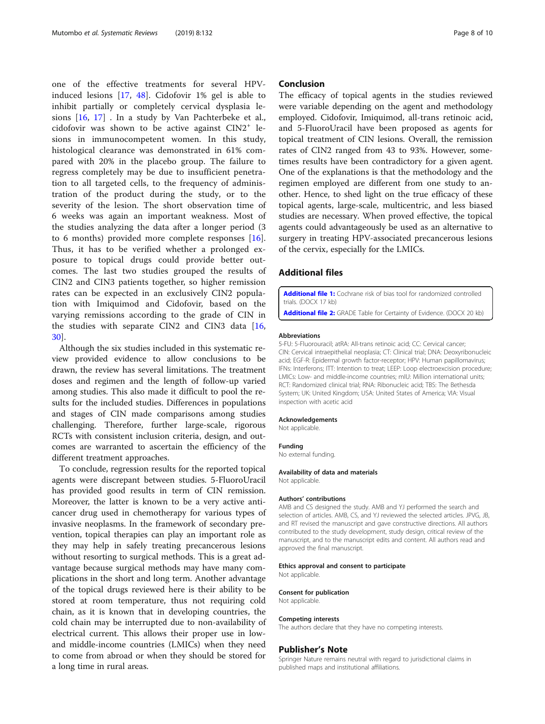<span id="page-7-0"></span>one of the effective treatments for several HPVinduced lesions [[17,](#page-8-0) [48](#page-9-0)]. Cidofovir 1% gel is able to inhibit partially or completely cervical dysplasia lesions [[16,](#page-8-0) [17](#page-8-0)] . In a study by Van Pachterbeke et al., cidofovir was shown to be active against CIN2<sup>+</sup> lesions in immunocompetent women. In this study, histological clearance was demonstrated in 61% compared with 20% in the placebo group. The failure to regress completely may be due to insufficient penetration to all targeted cells, to the frequency of administration of the product during the study, or to the severity of the lesion. The short observation time of 6 weeks was again an important weakness. Most of the studies analyzing the data after a longer period (3 to 6 months) provided more complete responses [\[16](#page-8-0)]. Thus, it has to be verified whether a prolonged exposure to topical drugs could provide better outcomes. The last two studies grouped the results of CIN2 and CIN3 patients together, so higher remission rates can be expected in an exclusively CIN2 population with Imiquimod and Cidofovir, based on the varying remissions according to the grade of CIN in the studies with separate CIN2 and CIN3 data [\[16](#page-8-0), [30\]](#page-8-0).

Although the six studies included in this systematic review provided evidence to allow conclusions to be drawn, the review has several limitations. The treatment doses and regimen and the length of follow-up varied among studies. This also made it difficult to pool the results for the included studies. Differences in populations and stages of CIN made comparisons among studies challenging. Therefore, further large-scale, rigorous RCTs with consistent inclusion criteria, design, and outcomes are warranted to ascertain the efficiency of the different treatment approaches.

To conclude, regression results for the reported topical agents were discrepant between studies. 5-FluoroUracil has provided good results in term of CIN remission. Moreover, the latter is known to be a very active anticancer drug used in chemotherapy for various types of invasive neoplasms. In the framework of secondary prevention, topical therapies can play an important role as they may help in safely treating precancerous lesions without resorting to surgical methods. This is a great advantage because surgical methods may have many complications in the short and long term. Another advantage of the topical drugs reviewed here is their ability to be stored at room temperature, thus not requiring cold chain, as it is known that in developing countries, the cold chain may be interrupted due to non-availability of electrical current. This allows their proper use in lowand middle-income countries (LMICs) when they need to come from abroad or when they should be stored for a long time in rural areas.

#### Conclusion

The efficacy of topical agents in the studies reviewed were variable depending on the agent and methodology employed. Cidofovir, Imiquimod, all-trans retinoic acid, and 5-FluoroUracil have been proposed as agents for topical treatment of CIN lesions. Overall, the remission rates of CIN2 ranged from 43 to 93%. However, sometimes results have been contradictory for a given agent. One of the explanations is that the methodology and the regimen employed are different from one study to another. Hence, to shed light on the true efficacy of these topical agents, large-scale, multicentric, and less biased studies are necessary. When proved effective, the topical agents could advantageously be used as an alternative to surgery in treating HPV-associated precancerous lesions of the cervix, especially for the LMICs.

#### Additional files

[Additional file 1:](https://doi.org/10.1186/s13643-019-1050-4) Cochrane risk of bias tool for randomized controlled trials. (DOCX 17 kb) [Additional file 2:](https://doi.org/10.1186/s13643-019-1050-4) GRADE Table for Certainty of Evidence. (DOCX 20 kb)

#### Abbreviations

5-FU: 5-Fluorouracil; atRA: All-trans retinoic acid; CC: Cervical cancer; CIN: Cervical intraepithelial neoplasia; CT: Clinical trial; DNA: Deoxyribonucleic acid; EGF-R: Epidermal growth factor-receptor; HPV: Human papillomavirus; IFNs: Interferons; ITT: Intention to treat; LEEP: Loop electroexcision procedure; LMICs: Low- and middle-income countries; mIU: Million international units; RCT: Randomized clinical trial; RNA: Ribonucleic acid; TBS: The Bethesda System; UK: United Kingdom; USA: United States of America; VIA: Visual inspection with acetic acid

#### Acknowledgements

Not applicable.

#### Funding

No external funding.

#### Availability of data and materials

Not applicable.

#### Authors' contributions

AMB and CS designed the study. AMB and YJ performed the search and selection of articles. AMB, CS, and YJ reviewed the selected articles. JPVG, JB and RT revised the manuscript and gave constructive directions. All authors contributed to the study development, study design, critical review of the manuscript, and to the manuscript edits and content. All authors read and approved the final manuscript.

#### Ethics approval and consent to participate

Not applicable.

Consent for publication Not applicable.

### Competing interests

The authors declare that they have no competing interests.

#### Publisher's Note

Springer Nature remains neutral with regard to jurisdictional claims in published maps and institutional affiliations.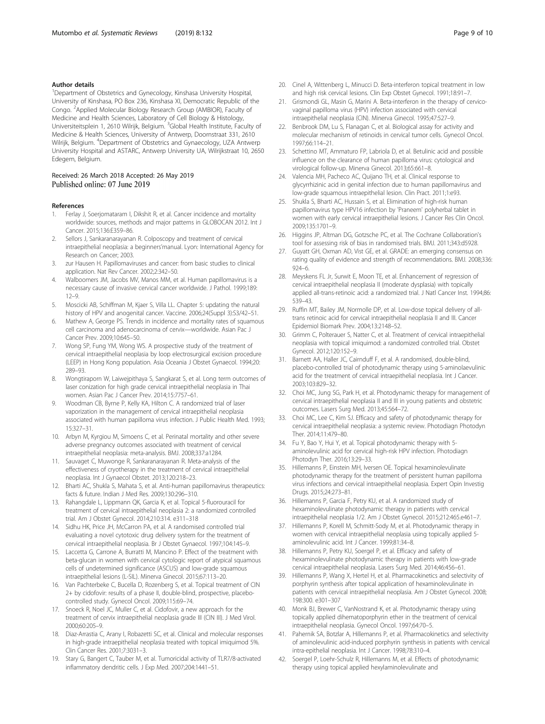#### <span id="page-8-0"></span>Author details

<sup>1</sup>Department of Obstetrics and Gynecology, Kinshasa University Hospital, University of Kinshasa, PO Box 236, Kinshasa XI, Democratic Republic of the Congo. <sup>2</sup>Applied Molecular Biology Research Group (AMBIOR), Faculty of Medicine and Health Sciences, Laboratory of Cell Biology & Histology, Universiteitsplein 1, 2610 Wilrijk, Belgium. <sup>3</sup>Global Health Institute, Faculty of Medicine & Health Sciences, University of Antwerp, Doornstraat 331, 2610 Wilrijk, Belgium. <sup>4</sup>Department of Obstetrics and Gynaecology, UZA Antwerp University Hospital and ASTARC, Antwerp University UA, Wilrijkstraat 10, 2650 Edegem, Belgium.

## Received: 26 March 2018 Accepted: 26 May 2019

#### References

- 1. Ferlay J, Soerjomataram I, Dikshit R, et al. Cancer incidence and mortality worldwide: sources, methods and major patterns in GLOBOCAN 2012. Int J Cancer. 2015;136:E359–86.
- 2. Sellors J, Sankaranarayanan R. Colposcopy and treatment of cervical intraepithelial neoplasia: a beginners'manual. Lyon: International Agency for Research on Cancer; 2003.
- 3. zur Hausen H. Papillomaviruses and cancer: from basic studies to clinical application. Nat Rev Cancer. 2002;2:342–50.
- Walboomers JM, Jacobs MV, Manos MM, et al. Human papillomavirus is a necessary cause of invasive cervical cancer worldwide. J Pathol. 1999;189:  $12-9$
- 5. Moscicki AB, Schiffman M, Kjaer S, Villa LL. Chapter 5: updating the natural history of HPV and anogenital cancer. Vaccine. 2006;24(Suppl 3):S3/42–51.
- Mathew A, George PS. Trends in incidence and mortality rates of squamous cell carcinoma and adenocarcinoma of cervix—worldwide. Asian Pac J Cancer Prev. 2009;10:645–50.
- 7. Wong SP, Fung YM, Wong WS. A prospective study of the treatment of cervical intraepithelial neoplasia by loop electrosurgical excision procedure (LEEP) in Hong Kong population. Asia Oceania J Obstet Gynaecol. 1994;20: 289–93.
- 8. Wongtiraporn W, Laiwejpithaya S, Sangkarat S, et al. Long term outcomes of laser conization for high grade cervical intraepithelial neoplasia in Thai women. Asian Pac J Cancer Prev. 2014;15:7757–61.
- 9. Woodman CB, Byrne P, Kelly KA, Hilton C. A randomized trial of laser vaporization in the management of cervical intraepithelial neoplasia associated with human papilloma virus infection. J Public Health Med. 1993; 15:327–31.
- 10. Arbyn M, Kyrgiou M, Simoens C, et al. Perinatal mortality and other severe adverse pregnancy outcomes associated with treatment of cervical intraepithelial neoplasia: meta-analysis. BMJ. 2008;337:a1284.
- 11. Sauvaget C, Muwonge R, Sankaranarayanan R. Meta-analysis of the effectiveness of cryotherapy in the treatment of cervical intraepithelial neoplasia. Int J Gynaecol Obstet. 2013;120:218–23.
- 12. Bharti AC, Shukla S, Mahata S, et al. Anti-human papillomavirus therapeutics: facts & future. Indian J Med Res. 2009;130:296–310.
- 13. Rahangdale L, Lippmann QK, Garcia K, et al. Topical 5-fluorouracil for treatment of cervical intraepithelial neoplasia 2: a randomized controlled trial. Am J Obstet Gynecol. 2014;210:314. e311–318
- 14. Sidhu HK, Price JH, McCarron PA, et al. A randomised controlled trial evaluating a novel cytotoxic drug delivery system for the treatment of cervical intraepithelial neoplasia. Br J Obstet Gynaecol. 1997;104:145–9.
- 15. Laccetta G, Carrone A, Burratti M, Mancino P. Effect of the treatment with beta-glucan in women with cervical cytologic report of atypical squamous cells of undetermined significance (ASCUS) and low-grade squamous intraepithelial lesions (L-SIL). Minerva Ginecol. 2015;67:113–20.
- 16. Van Pachterbeke C, Bucella D, Rozenberg S, et al. Topical treatment of CIN 2+ by cidofovir: results of a phase II, double-blind, prospective, placebocontrolled study. Gynecol Oncol. 2009;115:69–74.
- 17. Snoeck R, Noel JC, Muller C, et al. Cidofovir, a new approach for the treatment of cervix intraepithelial neoplasia grade III (CIN III). J Med Virol. 2000;60:205–9.
- 18. Diaz-Arrastia C, Arany I, Robazetti SC, et al. Clinical and molecular responses in high-grade intraepithelial neoplasia treated with topical imiquimod 5%. Clin Cancer Res. 2001;7:3031–3.
- 19. Stary G, Bangert C, Tauber M, et al. Tumoricidal activity of TLR7/8-activated inflammatory dendritic cells. J Exp Med. 2007;204:1441–51.
- 20. Cinel A, Wittenberg L, Minucci D. Beta-interferon topical treatment in low and high risk cervical lesions. Clin Exp Obstet Gynecol. 1991;18:91–7.
- 21. Grismondi GL, Masin G, Marini A. Beta-interferon in the therapy of cervicovaginal papilloma virus (HPV) infection associated with cervical intraepithelial neoplasia (CIN). Minerva Ginecol. 1995;47:527–9.
- 22. Benbrook DM, Lu S, Flanagan C, et al. Biological assay for activity and molecular mechanism of retinoids in cervical tumor cells. Gynecol Oncol. 1997;66:114–21.
- 23. Schettino MT, Ammaturo FP, Labriola D, et al. Betulinic acid and possible influence on the clearance of human papilloma virus: cytological and virological follow-up. Minerva Ginecol. 2013;65:661–8.
- 24. Valencia MH, Pacheco AC, Quijano TH, et al. Clinical response to glycyrrhizinic acid in genital infection due to human papillomavirus and low-grade squamous intraepithelial lesion. Clin Pract. 2011;1:e93.
- 25. Shukla S, Bharti AC, Hussain S, et al. Elimination of high-risk human papillomavirus type HPV16 infection by 'Praneem' polyherbal tablet in women with early cervical intraepithelial lesions. J Cancer Res Clin Oncol. 2009;135:1701–9.
- 26. Higgins JP, Altman DG, Gotzsche PC, et al. The Cochrane Collaboration's tool for assessing risk of bias in randomised trials. BMJ. 2011;343:d5928.
- 27. Guyatt GH, Oxman AD, Vist GE, et al. GRADE: an emerging consensus on rating quality of evidence and strength of recommendations. BMJ. 2008;336: 924–6.
- 28. Meyskens FL Jr, Surwit E, Moon TE, et al. Enhancement of regression of cervical intraepithelial neoplasia II (moderate dysplasia) with topically applied all-trans-retinoic acid: a randomized trial. J Natl Cancer Inst. 1994;86: 539–43.
- 29. Ruffin MT, Bailey JM, Normolle DP, et al. Low-dose topical delivery of alltrans retinoic acid for cervical intraepithelial neoplasia II and III. Cancer Epidemiol Biomark Prev. 2004;13:2148–52.
- 30. Grimm C, Polterauer S, Natter C, et al. Treatment of cervical intraepithelial neoplasia with topical imiquimod: a randomized controlled trial. Obstet Gynecol. 2012;120:152–9.
- 31. Barnett AA, Haller JC, Cairnduff F, et al. A randomised, double-blind, placebo-controlled trial of photodynamic therapy using 5-aminolaevulinic acid for the treatment of cervical intraepithelial neoplasia. Int J Cancer. 2003;103:829–32.
- 32. Choi MC, Jung SG, Park H, et al. Photodynamic therapy for management of cervical intraepithelial neoplasia II and III in young patients and obstetric outcomes. Lasers Surg Med. 2013;45:564–72.
- 33. Choi MC, Lee C, Kim SJ. Efficacy and safety of photodynamic therapy for cervical intraepithelial neoplasia: a systemic review. Photodiagn Photodyn Ther. 2014;11:479–80.
- 34. Fu Y, Bao Y, Hui Y, et al. Topical photodynamic therapy with 5 aminolevulinic acid for cervical high-risk HPV infection. Photodiagn Photodyn Ther. 2016;13:29–33.
- 35. Hillemanns P, Einstein MH, Iversen OE. Topical hexaminolevulinate photodynamic therapy for the treatment of persistent human papilloma virus infections and cervical intraepithelial neoplasia. Expert Opin Investig Drugs. 2015;24:273–81.
- 36. Hillemanns P, Garcia F, Petry KU, et al. A randomized study of hexaminolevulinate photodynamic therapy in patients with cervical intraepithelial neoplasia 1/2. Am J Obstet Gynecol. 2015;212:465.e461–7.
- 37. Hillemanns P, Korell M, Schmitt-Sody M, et al. Photodynamic therapy in women with cervical intraepithelial neoplasia using topically applied 5 aminolevulinic acid. Int J Cancer. 1999;81:34–8.
- 38. Hillemanns P, Petry KU, Soergel P, et al. Efficacy and safety of hexaminolevulinate photodynamic therapy in patients with low-grade cervical intraepithelial neoplasia. Lasers Surg Med. 2014;46:456–61.
- 39. Hillemanns P, Wang X, Hertel H, et al. Pharmacokinetics and selectivity of porphyrin synthesis after topical application of hexaminolevulinate in patients with cervical intraepithelial neoplasia. Am J Obstet Gynecol. 2008; 198:300. e301–307
- 40. Monk BJ, Brewer C, VanNostrand K, et al. Photodynamic therapy using topically applied dihematoporphyrin ether in the treatment of cervical intraepithelial neoplasia. Gynecol Oncol. 1997;64:70–5.
- 41. Pahernik SA, Botzlar A, Hillemanns P, et al. Pharmacokinetics and selectivity of aminolevulinic acid-induced porphyrin synthesis in patients with cervical intra-epithelial neoplasia. Int J Cancer. 1998;78:310–4.
- 42. Soergel P, Loehr-Schulz R, Hillemanns M, et al. Effects of photodynamic therapy using topical applied hexylaminolevulinate and